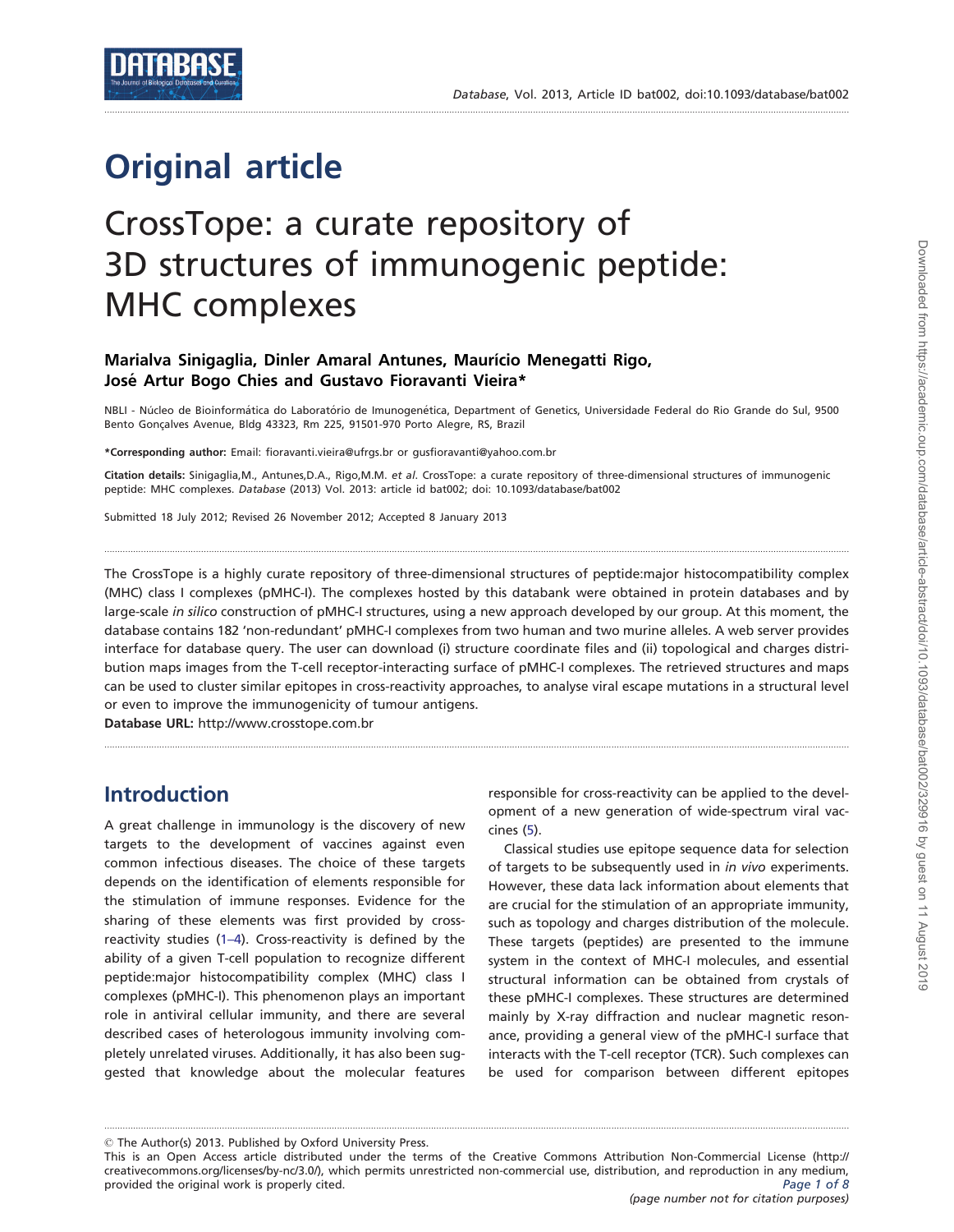# Original article

## CrossTope: a curate repository of 3D structures of immunogenic peptide: MHC complexes

#### Marialva Sinigaglia, Dinler Amaral Antunes, Maurício Menegatti Rigo, José Artur Bogo Chies and Gustavo Fioravanti Vieira\*

NBLI - Núcleo de Bioinformática do Laboratório de Imunogenética, Department of Genetics, Universidade Federal do Rio Grande do Sul, 9500 Bento Gonçalves Avenue, Bldg 43323, Rm 225, 91501-970 Porto Alegre, RS, Brazil

.............................................................................................................................................................................................................................................................................................

\*Corresponding author: Email: fioravanti.vieira@ufrgs.br or gusfioravanti@yahoo.com.br

Citation details: Sinigaglia, M., Antunes, D.A., Rigo, M.M. et al. CrossTope: a curate repository of three-dimensional structures of immunogenic peptide: MHC complexes. Database (2013) Vol. 2013: article id bat002; doi: 10.1093/database/bat002

Submitted 18 July 2012; Revised 26 November 2012; Accepted 8 January 2013

The CrossTope is a highly curate repository of three-dimensional structures of peptide:major histocompatibility complex (MHC) class I complexes (pMHC-I). The complexes hosted by this databank were obtained in protein databases and by large-scale in silico construction of pMHC-I structures, using a new approach developed by our group. At this moment, the database contains 182 'non-redundant' pMHC-I complexes from two human and two murine alleles. A web server provides interface for database query. The user can download (i) structure coordinate files and (ii) topological and charges distribution maps images from the T-cell receptor-interacting surface of pMHC-I complexes. The retrieved structures and maps can be used to cluster similar epitopes in cross-reactivity approaches, to analyse viral escape mutations in a structural level or even to improve the immunogenicity of tumour antigens.

.............................................................................................................................................................................................................................................................................................

.............................................................................................................................................................................................................................................................................................

Database URL: <http://www.crosstope.com.br>

#### Introduction

A great challenge in immunology is the discovery of new targets to the development of vaccines against even common infectious diseases. The choice of these targets depends on the identification of elements responsible for the stimulation of immune responses. Evidence for the sharing of these elements was first provided by crossreactivity studies [\(1–4](#page-6-0)). Cross-reactivity is defined by the ability of a given T-cell population to recognize different peptide:major histocompatibility complex (MHC) class I complexes (pMHC-I). This phenomenon plays an important role in antiviral cellular immunity, and there are several described cases of heterologous immunity involving completely unrelated viruses. Additionally, it has also been suggested that knowledge about the molecular features

responsible for cross-reactivity can be applied to the development of a new generation of wide-spectrum viral vaccines [\(5\)](#page-6-0).

Classical studies use epitope sequence data for selection of targets to be subsequently used in in vivo experiments. However, these data lack information about elements that are crucial for the stimulation of an appropriate immunity, such as topology and charges distribution of the molecule. These targets (peptides) are presented to the immune system in the context of MHC-I molecules, and essential structural information can be obtained from crystals of these pMHC-I complexes. These structures are determined mainly by X-ray diffraction and nuclear magnetic resonance, providing a general view of the pMHC-I surface that interacts with the T-cell receptor (TCR). Such complexes can be used for comparison between different epitopes

 $\odot$  The Author(s) 2013. Published by Oxford University Press.

This is an Open Access article distributed under the terms of the Creative Commons Attribution Non-Commercial License (http:// creativecommons.org/licenses/by-nc/3.0/), which permits unrestricted non-commercial use, distribution, and reproduction in any medium, provided the original work is properly cited. The set of 8 and 200 m and 200 m and 200 m and 200 m and 200 m and 200 m and 200 m and 200 m and 200 m and 200 m and 200 m and 200 m and 200 m and 200 m and 200 m and 200 m and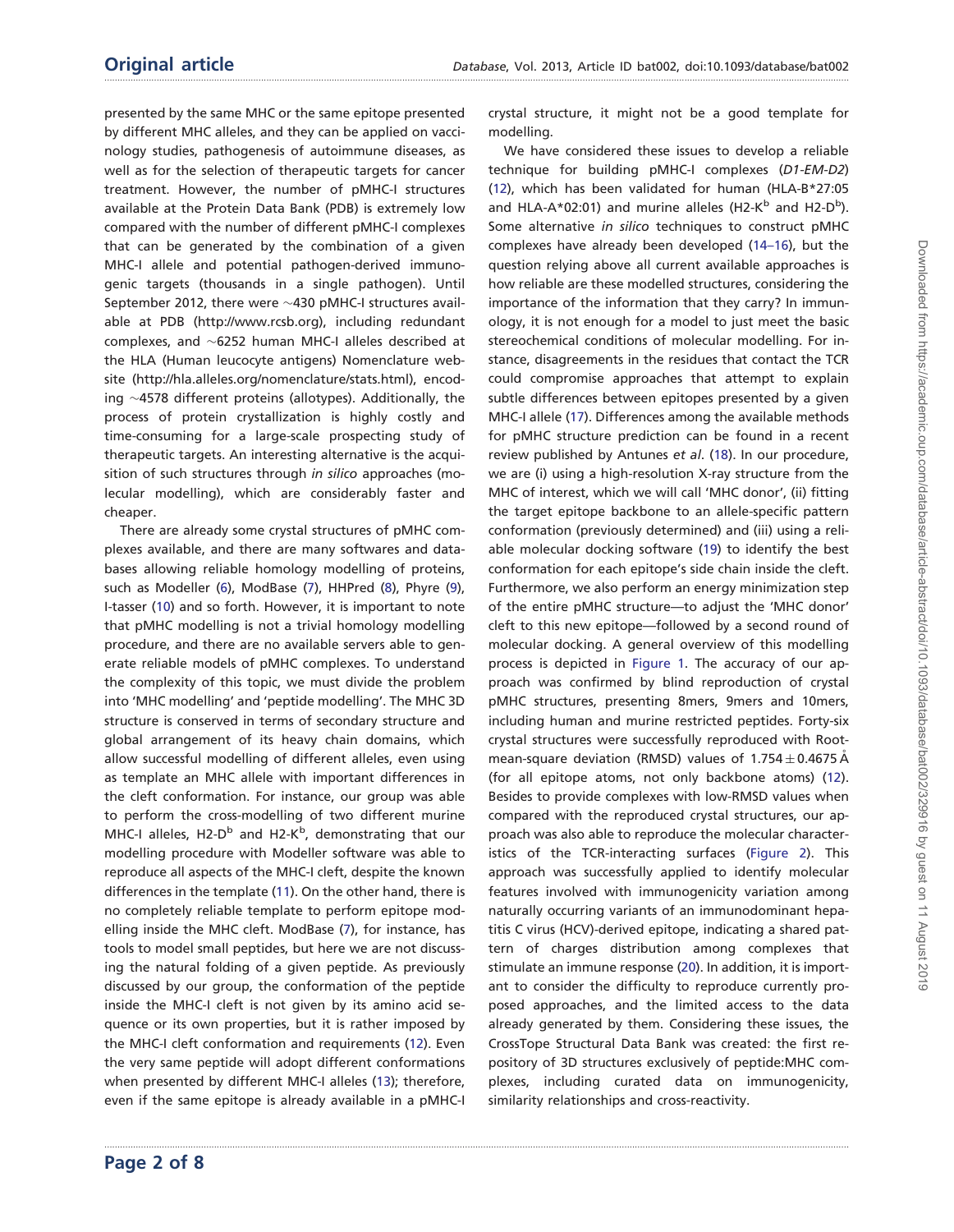presented by the same MHC or the same epitope presented by different MHC alleles, and they can be applied on vaccinology studies, pathogenesis of autoimmune diseases, as well as for the selection of therapeutic targets for cancer treatment. However, the number of pMHC-I structures available at the Protein Data Bank (PDB) is extremely low compared with the number of different pMHC-I complexes that can be generated by the combination of a given MHC-I allele and potential pathogen-derived immunogenic targets (thousands in a single pathogen). Until September 2012, there were  $\sim$ 430 pMHC-I structures available at PDB ([http://www.rcsb.org\)](http://www.rcsb.org), including redundant complexes, and  $\sim$ 6252 human MHC-I alleles described at the HLA (Human leucocyte antigens) Nomenclature website ([http://hla.alleles.org/nomenclature/s](http://hla.alleles.org/nomenclature/)tats.html), encoding  $\sim$ 4578 different proteins (allotypes). Additionally, the process of protein crystallization is highly costly and time-consuming for a large-scale prospecting study of therapeutic targets. An interesting alternative is the acquisition of such structures through in silico approaches (molecular modelling), which are considerably faster and cheaper.

There are already some crystal structures of pMHC complexes available, and there are many softwares and databases allowing reliable homology modelling of proteins, such as Modeller ([6](#page-6-0)), ModBase [\(7\)](#page-6-0), HHPred [\(8\)](#page-6-0), Phyre ([9\)](#page-6-0), I-tasser [\(10](#page-6-0)) and so forth. However, it is important to note that pMHC modelling is not a trivial homology modelling procedure, and there are no available servers able to generate reliable models of pMHC complexes. To understand the complexity of this topic, we must divide the problem into 'MHC modelling' and 'peptide modelling'. The MHC 3D structure is conserved in terms of secondary structure and global arrangement of its heavy chain domains, which allow successful modelling of different alleles, even using as template an MHC allele with important differences in the cleft conformation. For instance, our group was able to perform the cross-modelling of two different murine MHC-I alleles, H2-D<sup>b</sup> and H2-K<sup>b</sup>, demonstrating that our modelling procedure with Modeller software was able to reproduce all aspects of the MHC-I cleft, despite the known differences in the template [\(11](#page-6-0)). On the other hand, there is no completely reliable template to perform epitope modelling inside the MHC cleft. ModBase ([7](#page-6-0)), for instance, has tools to model small peptides, but here we are not discussing the natural folding of a given peptide. As previously discussed by our group, the conformation of the peptide inside the MHC-I cleft is not given by its amino acid sequence or its own properties, but it is rather imposed by the MHC-I cleft conformation and requirements ([12](#page-6-0)). Even the very same peptide will adopt different conformations when presented by different MHC-I alleles ([13\)](#page-6-0); therefore, even if the same epitope is already available in a pMHC-I

.............................................................................................................................................................................................................................................................................................

crystal structure, it might not be a good template for modelling.

We have considered these issues to develop a reliable technique for building pMHC-I complexes (D1-EM-D2) [\(12\)](#page-6-0), which has been validated for human (HLA-B\*27:05 and HLA-A\*02:01) and murine alleles (H2-K<sup>b</sup> and H2-D<sup>b</sup>). Some alternative in silico techniques to construct pMHC complexes have already been developed [\(14–16](#page-6-0)), but the question relying above all current available approaches is how reliable are these modelled structures, considering the importance of the information that they carry? In immunology, it is not enough for a model to just meet the basic stereochemical conditions of molecular modelling. For instance, disagreements in the residues that contact the TCR could compromise approaches that attempt to explain subtle differences between epitopes presented by a given MHC-I allele ([17](#page-7-0)). Differences among the available methods for pMHC structure prediction can be found in a recent review published by Antunes et al. [\(18\)](#page-7-0). In our procedure, we are (i) using a high-resolution X-ray structure from the MHC of interest, which we will call 'MHC donor', (ii) fitting the target epitope backbone to an allele-specific pattern conformation (previously determined) and (iii) using a reliable molecular docking software [\(19\)](#page-7-0) to identify the best conformation for each epitope's side chain inside the cleft. Furthermore, we also perform an energy minimization step of the entire pMHC structure—to adjust the 'MHC donor' cleft to this new epitope—followed by a second round of molecular docking. A general overview of this modelling process is depicted in [Figure 1.](#page-2-0) The accuracy of our approach was confirmed by blind reproduction of crystal pMHC structures, presenting 8mers, 9mers and 10mers, including human and murine restricted peptides. Forty-six crystal structures were successfully reproduced with Rootmean-square deviation (RMSD) values of  $1.754 \pm 0.4675$  Å (for all epitope atoms, not only backbone atoms) ([12](#page-6-0)). Besides to provide complexes with low-RMSD values when compared with the reproduced crystal structures, our approach was also able to reproduce the molecular characteristics of the TCR-interacting surfaces ([Figure 2](#page-2-0)). This approach was successfully applied to identify molecular features involved with immunogenicity variation among naturally occurring variants of an immunodominant hepatitis C virus (HCV)-derived epitope, indicating a shared pattern of charges distribution among complexes that stimulate an immune response [\(20\)](#page-7-0). In addition, it is important to consider the difficulty to reproduce currently proposed approaches, and the limited access to the data already generated by them. Considering these issues, the CrossTope Structural Data Bank was created: the first repository of 3D structures exclusively of peptide:MHC complexes, including curated data on immunogenicity, similarity relationships and cross-reactivity.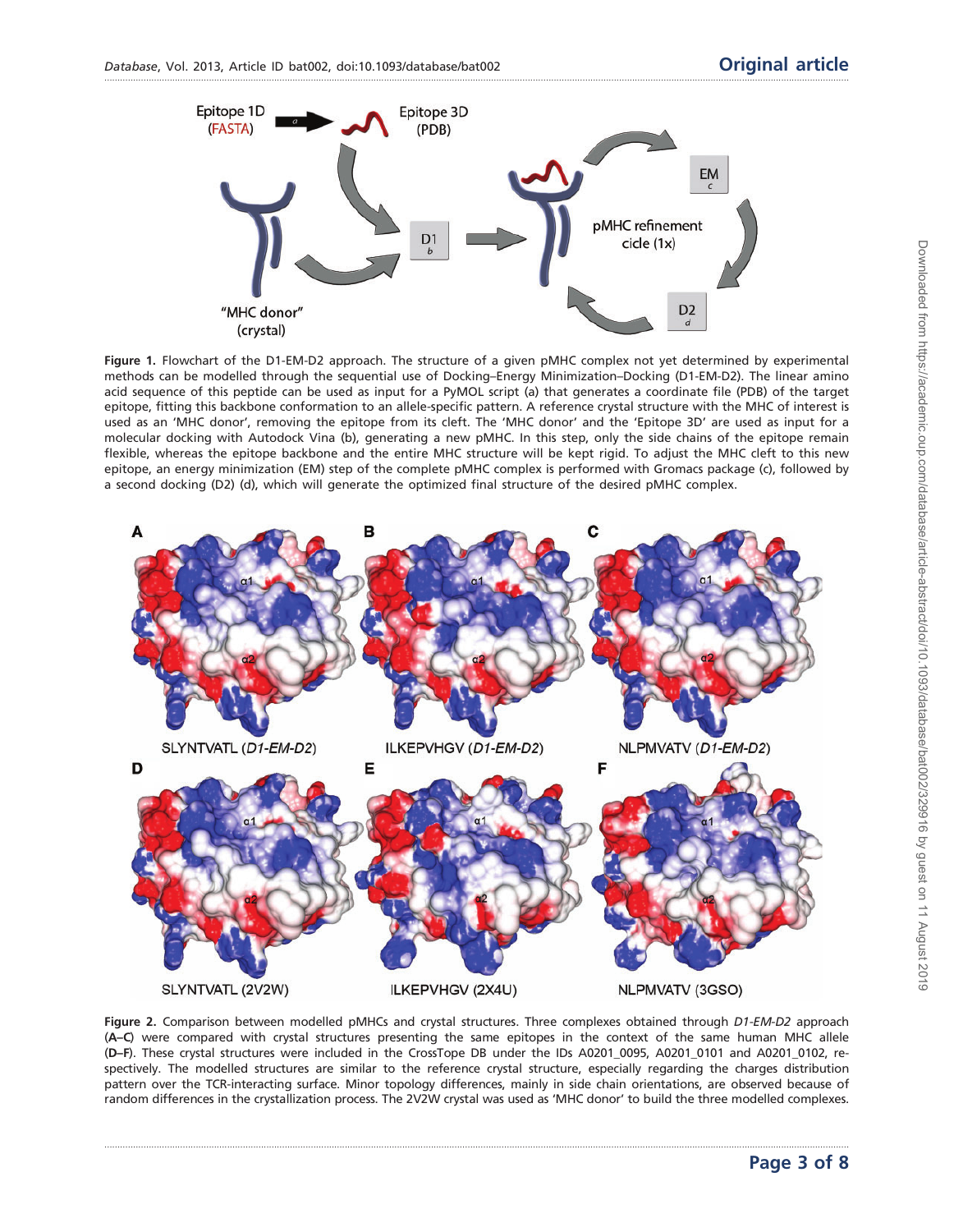<span id="page-2-0"></span>

Figure 1. Flowchart of the D1-EM-D2 approach. The structure of a given pMHC complex not yet determined by experimental methods can be modelled through the sequential use of Docking–Energy Minimization–Docking (D1-EM-D2). The linear amino acid sequence of this peptide can be used as input for a PyMOL script (a) that generates a coordinate file (PDB) of the target epitope, fitting this backbone conformation to an allele-specific pattern. A reference crystal structure with the MHC of interest is used as an 'MHC donor', removing the epitope from its cleft. The 'MHC donor' and the 'Epitope 3D' are used as input for a molecular docking with Autodock Vina (b), generating a new pMHC. In this step, only the side chains of the epitope remain flexible, whereas the epitope backbone and the entire MHC structure will be kept rigid. To adjust the MHC cleft to this new epitope, an energy minimization (EM) step of the complete pMHC complex is performed with Gromacs package (c), followed by a second docking (D2) (d), which will generate the optimized final structure of the desired pMHC complex.



Figure 2. Comparison between modelled pMHCs and crystal structures. Three complexes obtained through D1-EM-D2 approach (A–C) were compared with crystal structures presenting the same epitopes in the context of the same human MHC allele (D–F). These crystal structures were included in the CrossTope DB under the IDs A0201\_0095, A0201\_0101 and A0201\_0102, respectively. The modelled structures are similar to the reference crystal structure, especially regarding the charges distribution pattern over the TCR-interacting surface. Minor topology differences, mainly in side chain orientations, are observed because of random differences in the crystallization process. The 2V2W crystal was used as 'MHC donor' to build the three modelled complexes.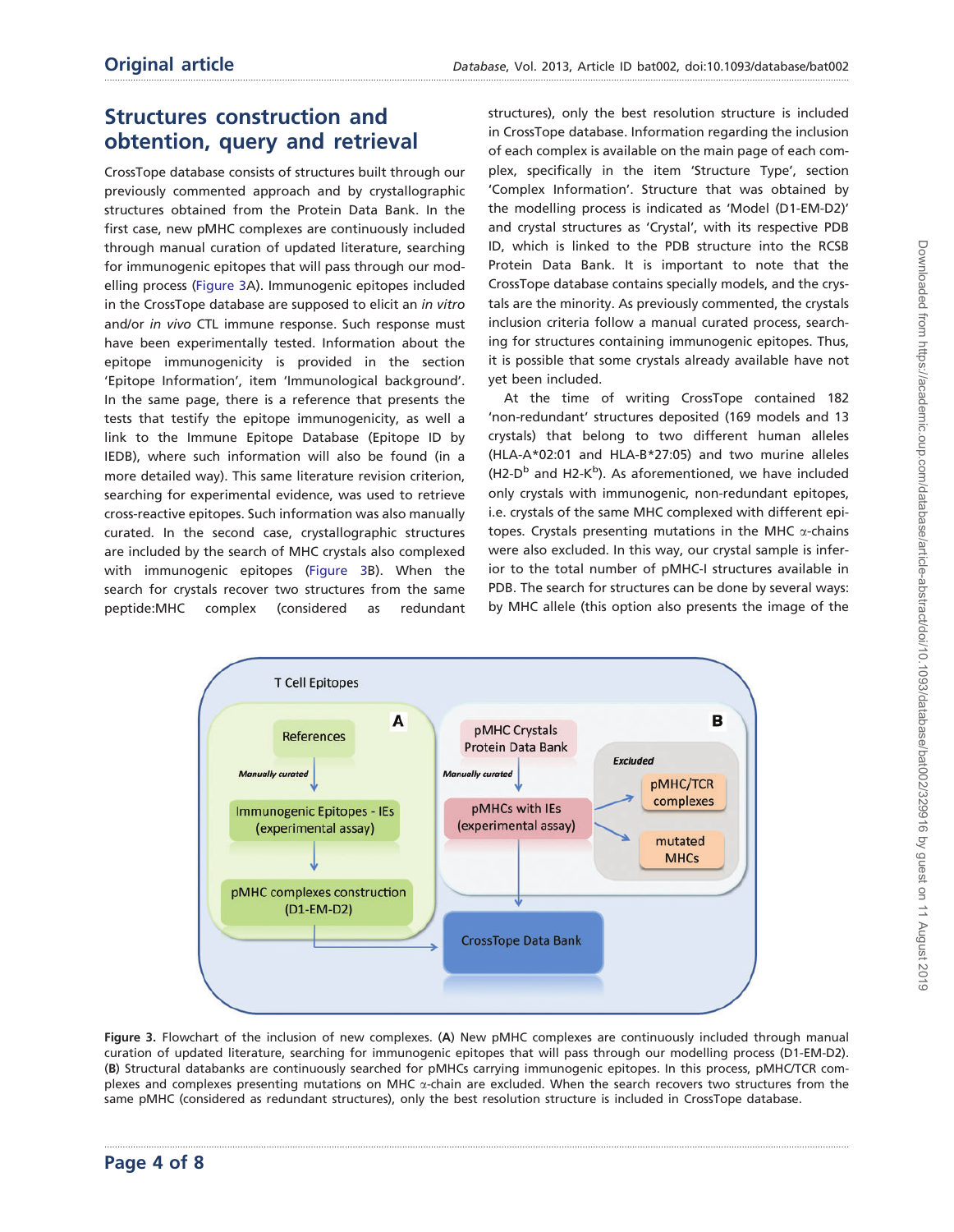## Structures construction and obtention, query and retrieval

CrossTope database consists of structures built through our previously commented approach and by crystallographic structures obtained from the Protein Data Bank. In the first case, new pMHC complexes are continuously included through manual curation of updated literature, searching for immunogenic epitopes that will pass through our modelling process (Figure 3A). Immunogenic epitopes included in the CrossTope database are supposed to elicit an in vitro and/or in vivo CTL immune response. Such response must have been experimentally tested. Information about the epitope immunogenicity is provided in the section 'Epitope Information', item 'Immunological background'. In the same page, there is a reference that presents the tests that testify the epitope immunogenicity, as well a link to the Immune Epitope Database (Epitope ID by IEDB), where such information will also be found (in a more detailed way). This same literature revision criterion, searching for experimental evidence, was used to retrieve cross-reactive epitopes. Such information was also manually curated. In the second case, crystallographic structures are included by the search of MHC crystals also complexed with immunogenic epitopes (Figure 3B). When the search for crystals recover two structures from the same peptide:MHC complex (considered as redundant structures), only the best resolution structure is included in CrossTope database. Information regarding the inclusion of each complex is available on the main page of each complex, specifically in the item 'Structure Type', section 'Complex Information'. Structure that was obtained by the modelling process is indicated as 'Model (D1-EM-D2)' and crystal structures as 'Crystal', with its respective PDB ID, which is linked to the PDB structure into the RCSB Protein Data Bank. It is important to note that the CrossTope database contains specially models, and the crystals are the minority. As previously commented, the crystals inclusion criteria follow a manual curated process, searching for structures containing immunogenic epitopes. Thus, it is possible that some crystals already available have not yet been included.

At the time of writing CrossTope contained 182 'non-redundant' structures deposited (169 models and 13 crystals) that belong to two different human alleles (HLA-A\*02:01 and HLA-B\*27:05) and two murine alleles (H2- $D^b$  and H2-K<sup>b</sup>). As aforementioned, we have included only crystals with immunogenic, non-redundant epitopes, i.e. crystals of the same MHC complexed with different epitopes. Crystals presenting mutations in the MHC  $\alpha$ -chains were also excluded. In this way, our crystal sample is inferior to the total number of pMHC-I structures available in PDB. The search for structures can be done by several ways: by MHC allele (this option also presents the image of the



Figure 3. Flowchart of the inclusion of new complexes. (A) New pMHC complexes are continuously included through manual curation of updated literature, searching for immunogenic epitopes that will pass through our modelling process (D1-EM-D2). (B) Structural databanks are continuously searched for pMHCs carrying immunogenic epitopes. In this process, pMHC/TCR complexes and complexes presenting mutations on MHC  $\alpha$ -chain are excluded. When the search recovers two structures from the same pMHC (considered as redundant structures), only the best resolution structure is included in CrossTope database.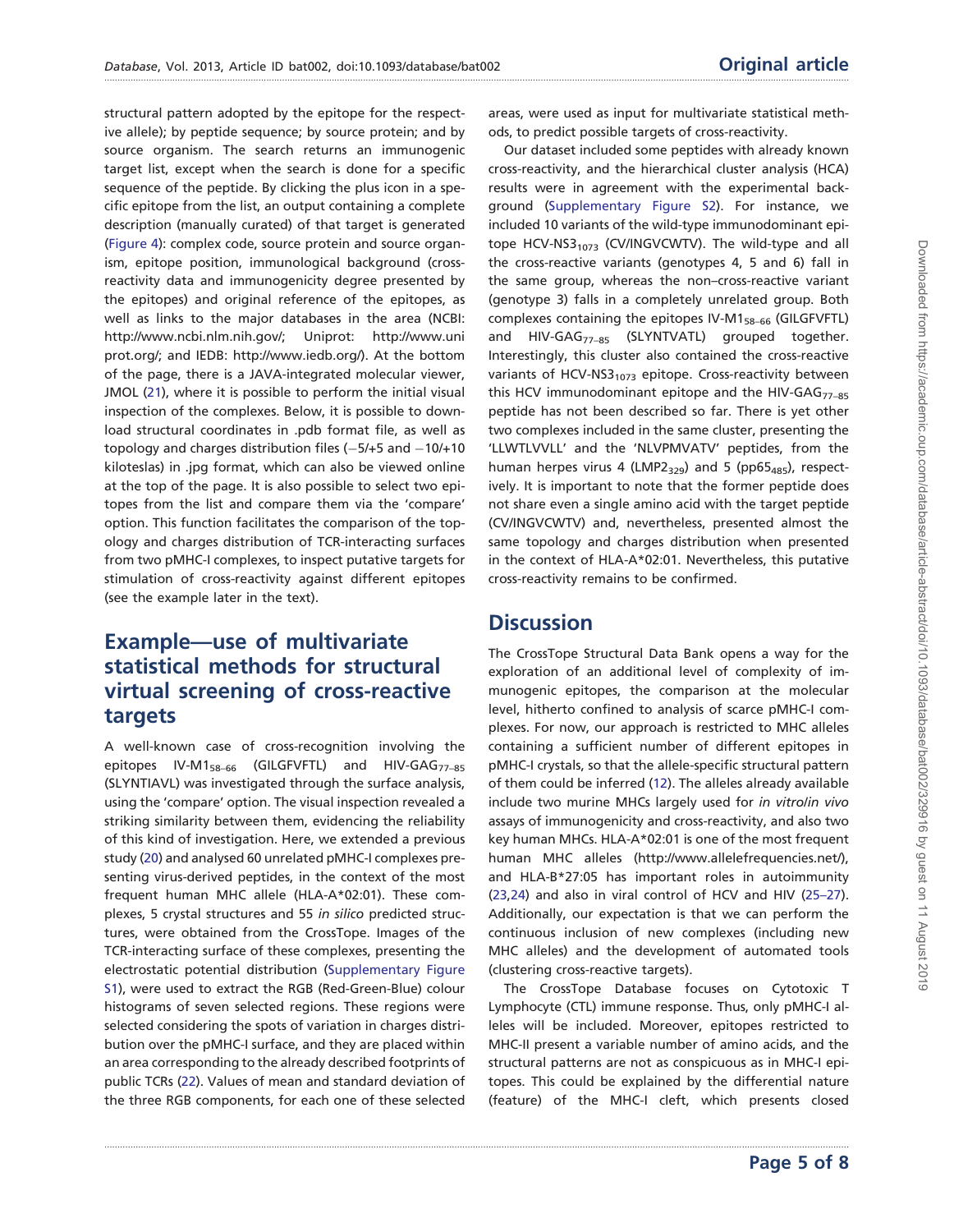structural pattern adopted by the epitope for the respective allele); by peptide sequence; by source protein; and by source organism. The search returns an immunogenic target list, except when the search is done for a specific sequence of the peptide. By clicking the plus icon in a specific epitope from the list, an output containing a complete description (manually curated) of that target is generated ([Figure 4\)](#page-5-0): complex code, source protein and source organism, epitope position, immunological background (crossreactivity data and immunogenicity degree presented by the epitopes) and original reference of the epitopes, as well as links to the major databases in the area (NCBI: <http://www.ncbi.nlm.nih.gov/>; Uniprot: [http://www.uni](http://www.uniprot.org/) [prot.org/;](http://www.uniprot.org/) and IEDB: [http://www.iedb.org/\)](http://www.iedb.org/). At the bottom of the page, there is a JAVA-integrated molecular viewer, JMOL ([21\)](#page-7-0), where it is possible to perform the initial visual inspection of the complexes. Below, it is possible to download structural coordinates in .pdb format file, as well as topology and charges distribution files  $(-5/545)$  and  $-10/110$ kiloteslas) in .jpg format, which can also be viewed online at the top of the page. It is also possible to select two epitopes from the list and compare them via the 'compare' option. This function facilitates the comparison of the topology and charges distribution of TCR-interacting surfaces from two pMHC-I complexes, to inspect putative targets for stimulation of cross-reactivity against different epitopes (see the example later in the text).

### Example—use of multivariate statistical methods for structural virtual screening of cross-reactive targets

A well-known case of cross-recognition involving the epitopes IV-M1<sub>58-66</sub> (GILGFVFTL) and HIV-GAG<sub>77-85</sub> (SLYNTIAVL) was investigated through the surface analysis, using the 'compare' option. The visual inspection revealed a striking similarity between them, evidencing the reliability of this kind of investigation. Here, we extended a previous study [\(20\)](#page-7-0) and analysed 60 unrelated pMHC-I complexes presenting virus-derived peptides, in the context of the most frequent human MHC allele (HLA-A\*02:01). These complexes, 5 crystal structures and 55 in silico predicted structures, were obtained from the CrossTope. Images of the TCR-interacting surface of these complexes, presenting the electrostatic potential distribution ([Supplementary Figure](http://database.oxfordjournals.org/lookup/suppl/doi:10.1093/database/bat002/-/DC1) [S1\)](http://database.oxfordjournals.org/lookup/suppl/doi:10.1093/database/bat002/-/DC1), were used to extract the RGB (Red-Green-Blue) colour histograms of seven selected regions. These regions were selected considering the spots of variation in charges distribution over the pMHC-I surface, and they are placed within an area corresponding to the already described footprints of public TCRs ([22\)](#page-7-0). Values of mean and standard deviation of the three RGB components, for each one of these selected

areas, were used as input for multivariate statistical methods, to predict possible targets of cross-reactivity.

Our dataset included some peptides with already known cross-reactivity, and the hierarchical cluster analysis (HCA) results were in agreement with the experimental background [\(Supplementary Figure S2\)](http://database.oxfordjournals.org/lookup/suppl/doi:10.1093/database/bat002/-/DC1). For instance, we included 10 variants of the wild-type immunodominant epitope HCV-NS3 $_{1073}$  (CV/INGVCWTV). The wild-type and all the cross-reactive variants (genotypes 4, 5 and 6) fall in the same group, whereas the non–cross-reactive variant (genotype 3) falls in a completely unrelated group. Both complexes containing the epitopes IV-M158–66 (GILGFVFTL) and HIV-GAG<sub>77-85</sub> (SLYNTVATL) grouped together. Interestingly, this cluster also contained the cross-reactive variants of HCV-NS3 $_{1073}$  epitope. Cross-reactivity between this HCV immunodominant epitope and the HIV-GAG $_{77-85}$ peptide has not been described so far. There is yet other two complexes included in the same cluster, presenting the 'LLWTLVVLL' and the 'NLVPMVATV' peptides, from the human herpes virus 4 (LMP2 $_{329}$ ) and 5 (pp65 $_{485}$ ), respectively. It is important to note that the former peptide does not share even a single amino acid with the target peptide (CV/INGVCWTV) and, nevertheless, presented almost the same topology and charges distribution when presented in the context of HLA-A\*02:01. Nevertheless, this putative cross-reactivity remains to be confirmed.

#### **Discussion**

.............................................................................................................................................................................................................................................................................................

The CrossTope Structural Data Bank opens a way for the exploration of an additional level of complexity of immunogenic epitopes, the comparison at the molecular level, hitherto confined to analysis of scarce pMHC-I complexes. For now, our approach is restricted to MHC alleles containing a sufficient number of different epitopes in pMHC-I crystals, so that the allele-specific structural pattern of them could be inferred [\(12\)](#page-6-0). The alleles already available include two murine MHCs largely used for in vitro/in vivo assays of immunogenicity and cross-reactivity, and also two key human MHCs. HLA-A\*02:01 is one of the most frequent human MHC alleles (<http://www.allelefrequencies.net/>), and HLA-B\*27:05 has important roles in autoimmunity [\(23,24](#page-7-0)) and also in viral control of HCV and HIV [\(25–27](#page-7-0)). Additionally, our expectation is that we can perform the continuous inclusion of new complexes (including new MHC alleles) and the development of automated tools (clustering cross-reactive targets).

The CrossTope Database focuses on Cytotoxic T Lymphocyte (CTL) immune response. Thus, only pMHC-I alleles will be included. Moreover, epitopes restricted to MHC-II present a variable number of amino acids, and the structural patterns are not as conspicuous as in MHC-I epitopes. This could be explained by the differential nature (feature) of the MHC-I cleft, which presents closed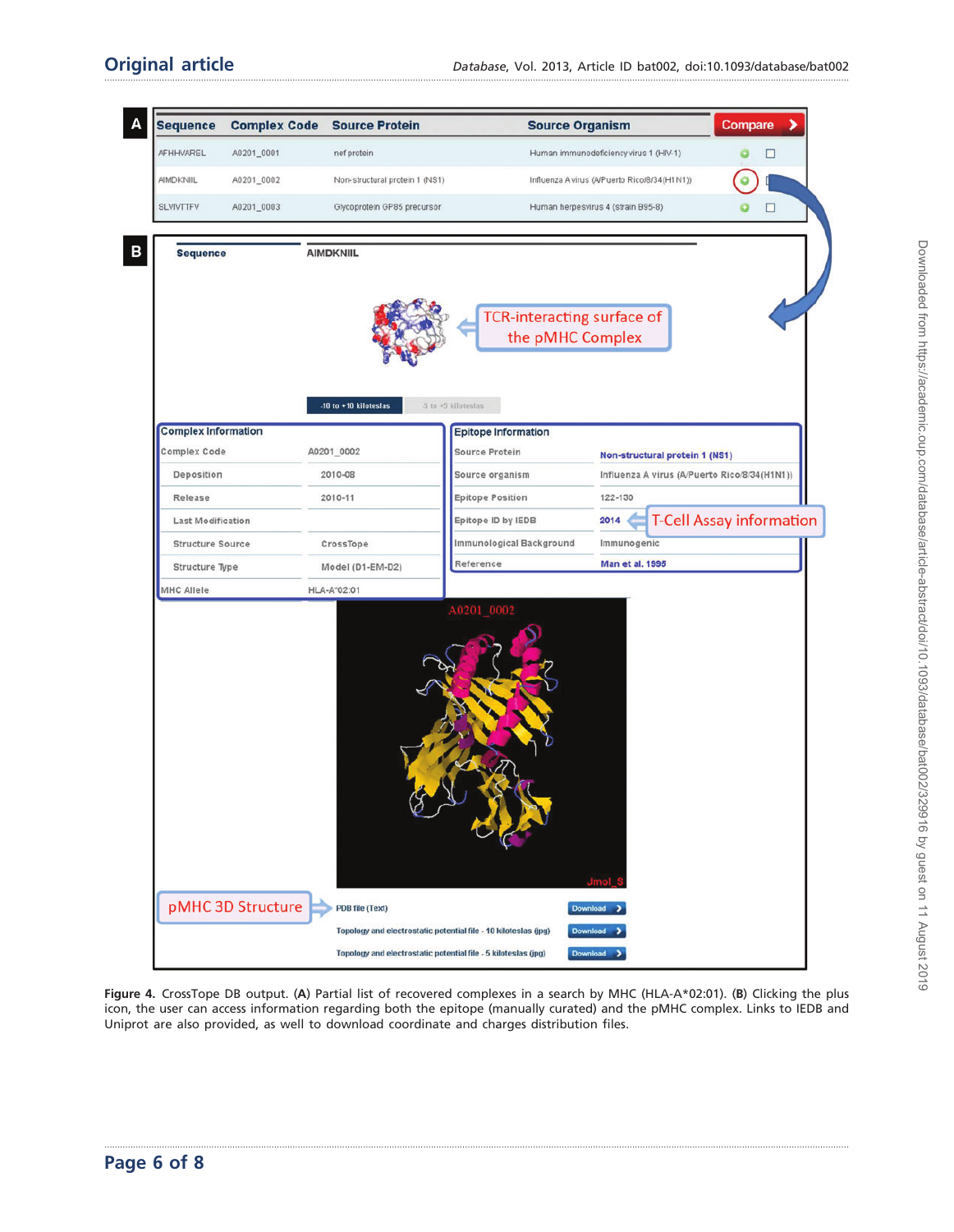<span id="page-5-0"></span>

| <b>Sequence</b>            | <b>Complex Code</b> | <b>Source Protein</b>                                                              | <b>Source Organism</b>            |                                              | Compare                         |
|----------------------------|---------------------|------------------------------------------------------------------------------------|-----------------------------------|----------------------------------------------|---------------------------------|
| AFHHVAREL                  | A0201_0001          | nef protein                                                                        |                                   | Human immunodeficiency virus 1 (HIV-1)       | □                               |
| <b>AIMDKNIIL</b>           | A0201_0002          | Non-structural protein 1 (NS1)                                                     |                                   | Influenza A virus (A/Puerto Rico/8/34(H1N1)) |                                 |
| <b>SLVIVTTFV</b>           | A0201_0003          | Glycoprotein GP85 precursor                                                        |                                   | Human herpesvirus 4 (strain B95-8)           | □                               |
|                            |                     |                                                                                    |                                   |                                              |                                 |
| <b>Sequence</b>            |                     | <b>AIMDKNIIL</b>                                                                   |                                   |                                              |                                 |
|                            |                     |                                                                                    |                                   |                                              |                                 |
|                            |                     |                                                                                    |                                   |                                              |                                 |
|                            |                     |                                                                                    | <b>TCR-interacting surface of</b> |                                              |                                 |
|                            |                     |                                                                                    | the pMHC Complex                  |                                              |                                 |
|                            |                     |                                                                                    |                                   |                                              |                                 |
|                            |                     |                                                                                    |                                   |                                              |                                 |
|                            |                     | -10 to +10 kiloteslas                                                              | 5 to +5 kiloteslas                |                                              |                                 |
| <b>Complex Information</b> |                     |                                                                                    | <b>Epitope Information</b>        |                                              |                                 |
| <b>Complex Code</b>        |                     | A0201_0002                                                                         | <b>Source Protein</b>             | Non-structural protein 1 (NS1)               |                                 |
| Deposition                 |                     | 2010-08                                                                            | Source organism                   | Influenza A virus (A/Puerto Rico/8/34(H1N1)) |                                 |
| Release                    |                     | 2010-11                                                                            | <b>Epitope Position</b>           | 122-130                                      |                                 |
| Last Modification          |                     |                                                                                    | Epitope ID by IEDB                | 2014                                         | <b>T-Cell Assay information</b> |
| <b>Structure Source</b>    |                     | CrossTope                                                                          | Immunological Background          | Immunogenic                                  |                                 |
| Structure Type             |                     | Model (D1-EM-D2)                                                                   | Reference                         | <b>Man et al. 1995</b>                       |                                 |
| MHC Allele                 |                     | HLA-A"02:01                                                                        | A0201 0002                        |                                              |                                 |
|                            |                     |                                                                                    |                                   |                                              |                                 |
|                            |                     | $\mathcal{C}$                                                                      |                                   |                                              |                                 |
|                            | pMHC 3D Structure   | PDB file (Text)<br>Topology and electrostatic potential file - 10 kiloteslas (jpg) |                                   | <b>Download</b><br>Download                  |                                 |

Figure 4. CrossTope DB output. (A) Partial list of recovered complexes in a search by MHC (HLA-A\*02:01). (B) Clicking the plus icon, the user can access information regarding both the epitope (manually curated) and the pMHC complex. Links to IEDB and Uniprot are also provided, as well to download coordinate and charges distribution files.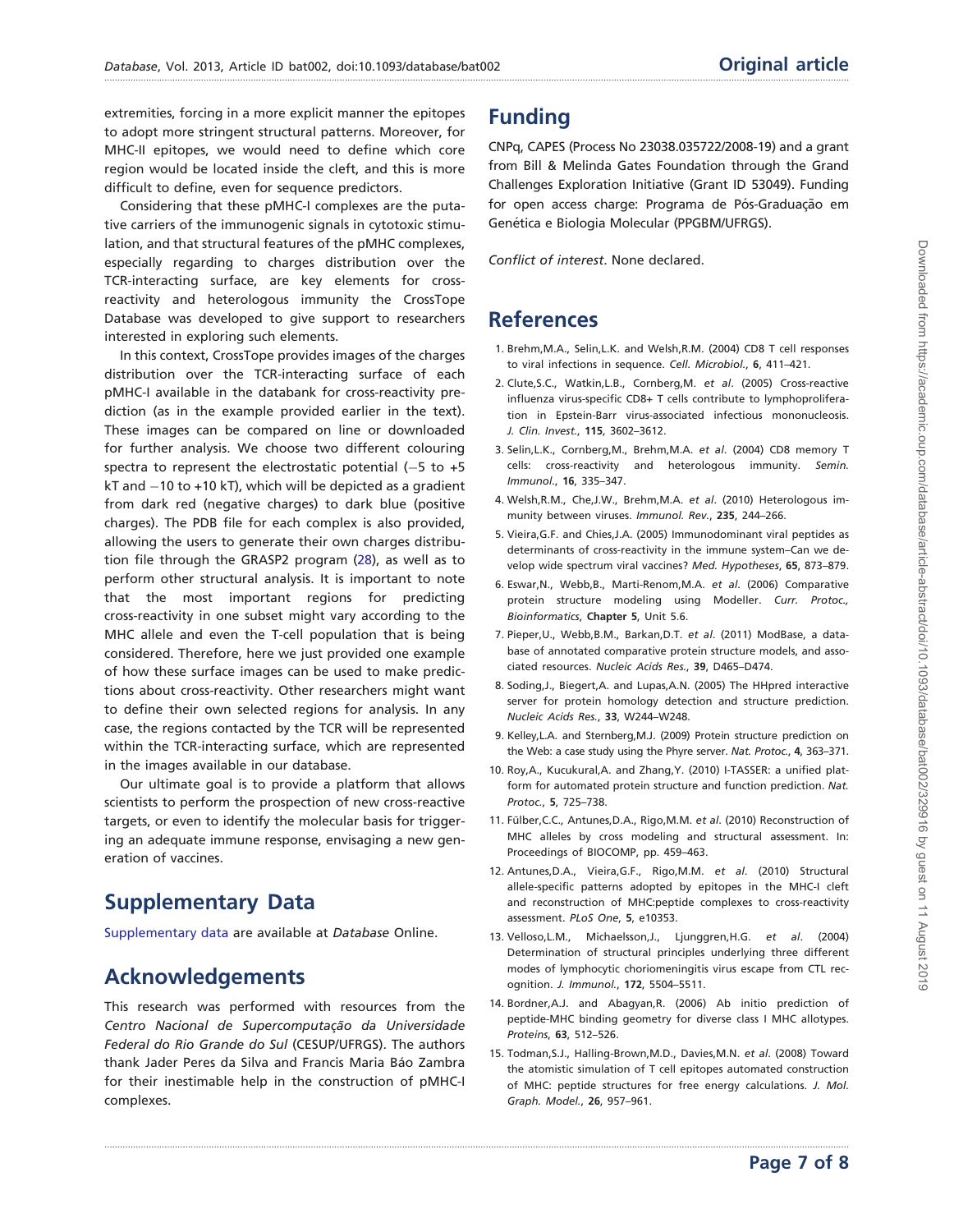<span id="page-6-0"></span>extremities, forcing in a more explicit manner the epitopes to adopt more stringent structural patterns. Moreover, for MHC-II epitopes, we would need to define which core region would be located inside the cleft, and this is more difficult to define, even for sequence predictors.

Considering that these pMHC-I complexes are the putative carriers of the immunogenic signals in cytotoxic stimulation, and that structural features of the pMHC complexes, especially regarding to charges distribution over the TCR-interacting surface, are key elements for crossreactivity and heterologous immunity the CrossTope Database was developed to give support to researchers interested in exploring such elements.

In this context, CrossTope provides images of the charges distribution over the TCR-interacting surface of each pMHC-I available in the databank for cross-reactivity prediction (as in the example provided earlier in the text). These images can be compared on line or downloaded for further analysis. We choose two different colouring spectra to represent the electrostatic potential  $(-5 \text{ to } +5)$ kT and  $-10$  to +10 kT), which will be depicted as a gradient from dark red (negative charges) to dark blue (positive charges). The PDB file for each complex is also provided, allowing the users to generate their own charges distribution file through the GRASP2 program ([28\)](#page-7-0), as well as to perform other structural analysis. It is important to note that the most important regions for predicting cross-reactivity in one subset might vary according to the MHC allele and even the T-cell population that is being considered. Therefore, here we just provided one example of how these surface images can be used to make predictions about cross-reactivity. Other researchers might want to define their own selected regions for analysis. In any case, the regions contacted by the TCR will be represented within the TCR-interacting surface, which are represented in the images available in our database.

Our ultimate goal is to provide a platform that allows scientists to perform the prospection of new cross-reactive targets, or even to identify the molecular basis for triggering an adequate immune response, envisaging a new generation of vaccines.

## Supplementary Data

[Supplementary data](http://database.oxfordjournals.org/lookup/suppl/doi:10.1093/database/bat002/-/DC1) are available at Database Online.

## Acknowledgements

This research was performed with resources from the Centro Nacional de Supercomputação da Universidade Federal do Rio Grande do Sul (CESUP/UFRGS). The authors thank Jader Peres da Silva and Francis Maria Báo Zambra for their inestimable help in the construction of pMHC-I complexes.

## Funding

CNPq, CAPES (Process No 23038.035722/2008-19) and a grant from Bill & Melinda Gates Foundation through the Grand Challenges Exploration Initiative (Grant ID 53049). Funding for open access charge: Programa de Pós-Graduação em Genética e Biologia Molecular (PPGBM/UFRGS).

Conflict of interest. None declared.

## **References**

- 1. Brehm,M.A., Selin,L.K. and Welsh,R.M. (2004) CD8 T cell responses to viral infections in sequence. Cell. Microbiol., 6, 411–421.
- 2. Clute,S.C., Watkin,L.B., Cornberg,M. et al. (2005) Cross-reactive influenza virus-specific CD8+ T cells contribute to lymphoproliferation in Epstein-Barr virus-associated infectious mononucleosis. J. Clin. Invest., 115, 3602–3612.
- 3. Selin,L.K., Cornberg,M., Brehm,M.A. et al. (2004) CD8 memory T cells: cross-reactivity and heterologous immunity. Semin. Immunol., 16, 335–347.
- 4. Welsh,R.M., Che,J.W., Brehm,M.A. et al. (2010) Heterologous immunity between viruses. Immunol. Rev., 235, 244–266.
- 5. Vieira,G.F. and Chies,J.A. (2005) Immunodominant viral peptides as determinants of cross-reactivity in the immune system–Can we develop wide spectrum viral vaccines? Med. Hypotheses, 65, 873-879.
- 6. Eswar,N., Webb,B., Marti-Renom,M.A. et al. (2006) Comparative protein structure modeling using Modeller. Curr. Protoc., Bioinformatics, Chapter 5, Unit 5.6.
- 7. Pieper,U., Webb,B.M., Barkan,D.T. et al. (2011) ModBase, a database of annotated comparative protein structure models, and associated resources. Nucleic Acids Res., 39, D465–D474.
- 8. Soding,J., Biegert,A. and Lupas,A.N. (2005) The HHpred interactive server for protein homology detection and structure prediction. Nucleic Acids Res., 33, W244–W248.
- 9. Kelley,L.A. and Sternberg,M.J. (2009) Protein structure prediction on the Web: a case study using the Phyre server. Nat. Protoc., 4, 363–371.
- 10. Roy,A., Kucukural,A. and Zhang,Y. (2010) I-TASSER: a unified platform for automated protein structure and function prediction. Nat. Protoc., 5, 725–738.
- 11. Fülber, C.C., Antunes, D.A., Rigo, M.M. et al. (2010) Reconstruction of MHC alleles by cross modeling and structural assessment. In: Proceedings of BIOCOMP, pp. 459–463.
- 12. Antunes,D.A., Vieira,G.F., Rigo,M.M. et al. (2010) Structural allele-specific patterns adopted by epitopes in the MHC-I cleft and reconstruction of MHC:peptide complexes to cross-reactivity assessment. PLoS One, 5, e10353.
- 13. Velloso,L.M., Michaelsson,J., Ljunggren,H.G. et al. (2004) Determination of structural principles underlying three different modes of lymphocytic choriomeningitis virus escape from CTL recognition. J. Immunol., 172, 5504–5511.
- 14. Bordner,A.J. and Abagyan,R. (2006) Ab initio prediction of peptide-MHC binding geometry for diverse class I MHC allotypes. Proteins, 63, 512–526.
- 15. Todman,S.J., Halling-Brown,M.D., Davies,M.N. et al. (2008) Toward the atomistic simulation of T cell epitopes automated construction of MHC: peptide structures for free energy calculations. J. Mol. Graph. Model., 26, 957–961.